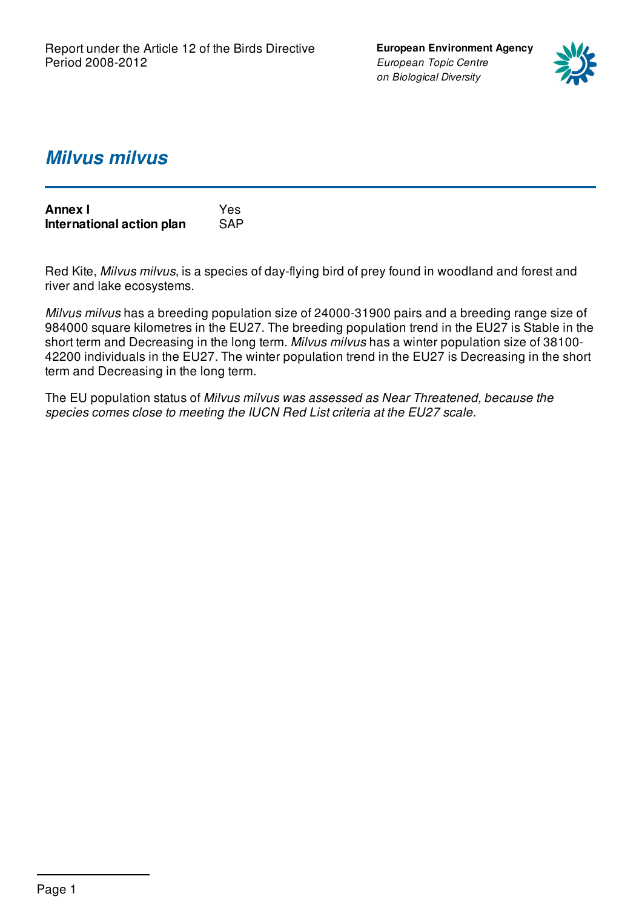**European Environment Agency** *European Topic Centre on Biological Diversity*



## *Milvus milvus*

| <b>Annex I</b>            | Yes        |
|---------------------------|------------|
| International action plan | <b>SAP</b> |

Red Kite, *Milvus milvus*, is a species of day-flying bird of prey found in woodland and forest and river and lake ecosystems.

*Milvus milvus* has a breeding population size of 24000-31900 pairs and a breeding range size of 984000 square kilometres in the EU27. The breeding population trend in the EU27 is Stable in the short term and Decreasing in the long term. *Milvus milvus* has a winter population size of 38100- 42200 individuals in the EU27. The winter population trend in the EU27 is Decreasing in the short term and Decreasing in the long term.

The EU population status of *Milvus milvus was assessed as Near Threatened, because the species comes close to meeting the IUCN Red List criteria at the EU27 scale.*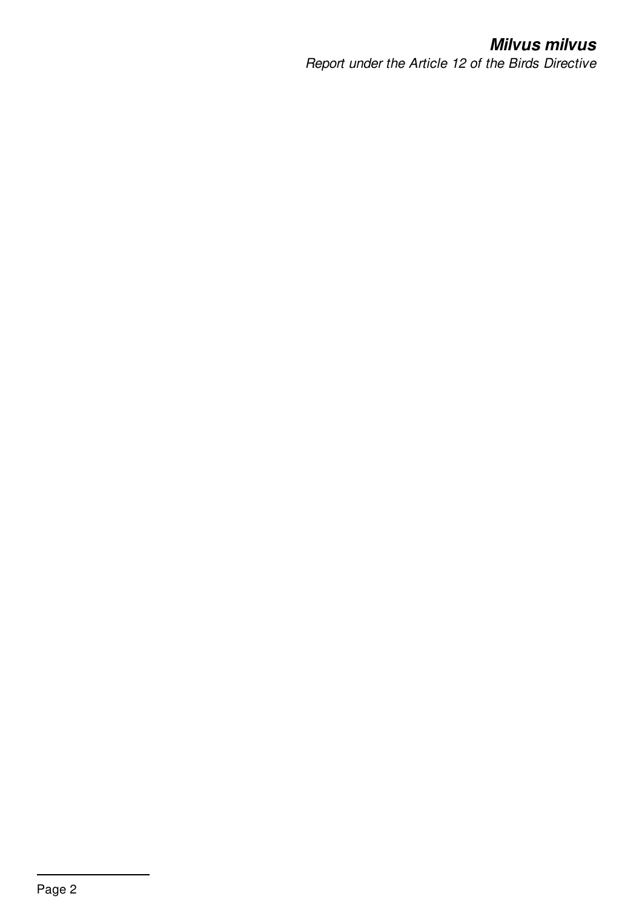*Report under the Article 12 of the Birds Directive*

*Assessment of status at the European level*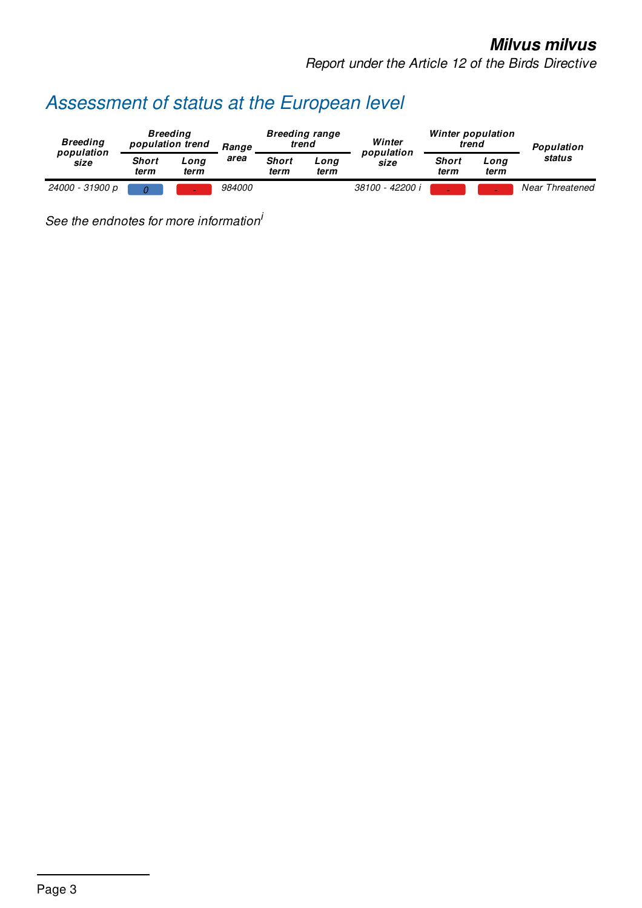*Report under the Article 12 of the Birds Directive*

# *Assessment of status at the European level*

| <b>Breeding</b><br>population<br>size | <b>Breeding</b><br>population trend |              | Range  | trend         | <b>Breeding range</b> | Winter             | Winter population<br>trend |              | <b>Population</b>      |
|---------------------------------------|-------------------------------------|--------------|--------|---------------|-----------------------|--------------------|----------------------------|--------------|------------------------|
|                                       | <b>Short</b><br>term                | Lona<br>term | area   | Short<br>term | Lona<br>term          | population<br>size | <b>Short</b><br>term       | Lona<br>term | status                 |
| 24000 - 31900 p                       |                                     |              | 984000 |               |                       | 38100 - 42200 i    |                            |              | <b>Near Threatened</b> |

*See the endnotes for more information i*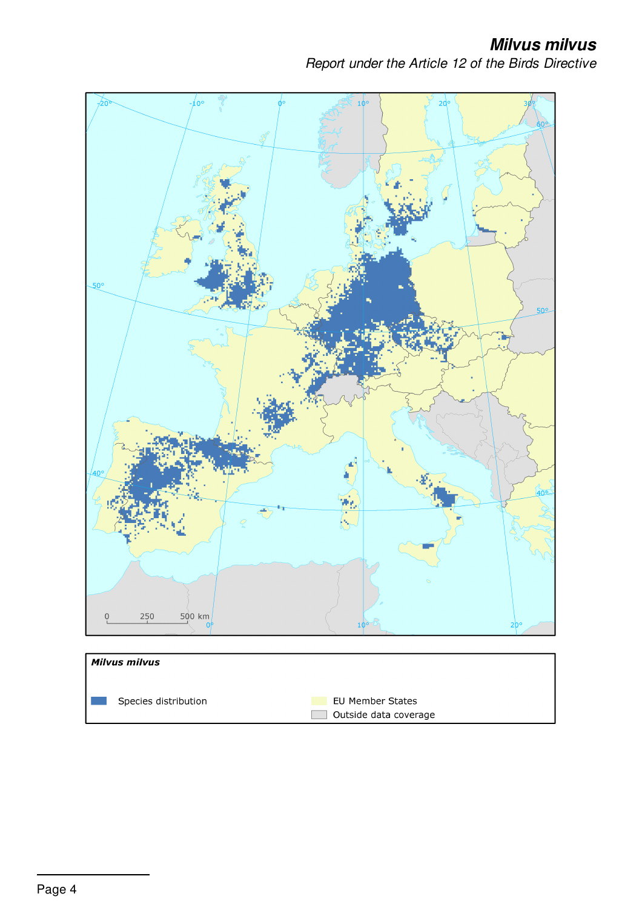*Milvus milvus*



Outside data coverage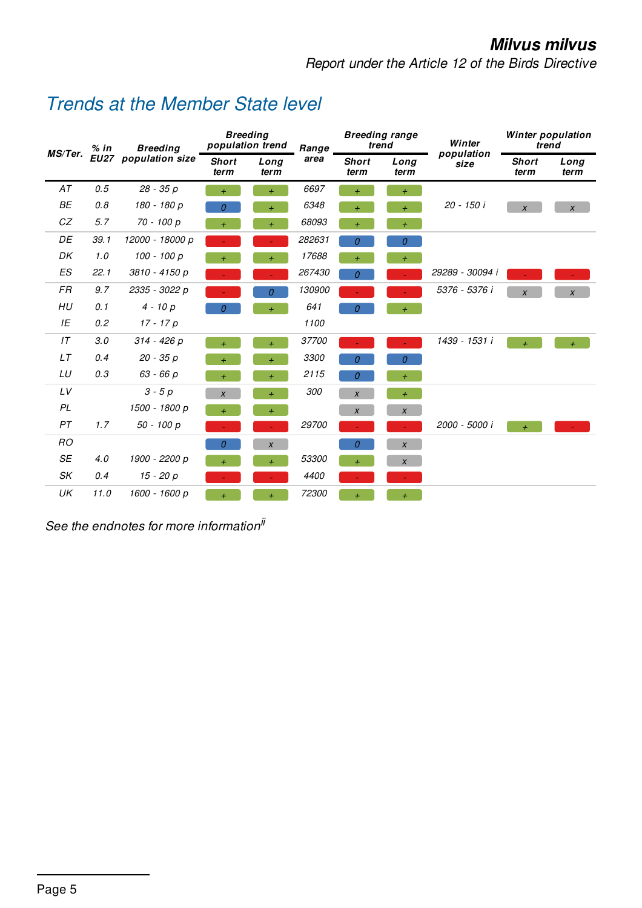# *Trends at the Member State level*

| $%$ in<br>MS/Ter. |      | <b>Breeding</b>      | <b>Breeding</b><br>population trend |                  | Range        | <b>Breeding range</b><br>trend |                  | Winter             | Winter population<br>trend |              |
|-------------------|------|----------------------|-------------------------------------|------------------|--------------|--------------------------------|------------------|--------------------|----------------------------|--------------|
|                   |      | EU27 population size | <b>Short</b><br>term                | Long<br>term     | area         | <b>Short</b><br>term           | Long<br>term     | population<br>size | <b>Short</b><br>term       | Long<br>term |
| АT                | 0.5  | 28 - 35 p            | $\overline{+}$                      | $\ddot{}$        | 6697         | $+$                            | $+$              |                    |                            |              |
| ΒE                | 0.8  | 180 - 180 p          | 0                                   | $\overline{+}$   | 6348         | $^{+}$                         | $\overline{+}$   | 20 - 150 i         | $\boldsymbol{x}$           | $\chi$       |
| СZ                | 5.7  | 70 - 100 p           | $\overline{+}$                      |                  | 68093        | $\overline{+}$                 | $+$              |                    |                            |              |
| DE                | 39.1 | 12000 - 18000 p      |                                     |                  | 282631       | $\overline{O}$                 | $\Omega$         |                    |                            |              |
| DK                | 1.0  | 100 - 100 p          | $+$                                 | $\pm$            | 17688        | $\pm$                          | $+$              |                    |                            |              |
| ES                | 22.1 | 3810 - 4150 p        |                                     |                  | 267430       | 0                              |                  | 29289 - 30094 i    |                            |              |
| <b>FR</b>         | 9.7  | 2335 - 3022 p        |                                     | 0                | 130900       |                                |                  | 5376 - 5376 i      | $\boldsymbol{x}$           | $\pmb{\chi}$ |
| HU                | 0.1  | $4 - 10 p$           | $\theta$                            | $+$              | 641          | 0                              | $\ddot{}$        |                    |                            |              |
| IE                | 0.2  | $17 - 17p$           |                                     |                  | 1100         |                                |                  |                    |                            |              |
| IT                | 3.0  | 314 - 426 p          | $\overline{+}$                      |                  | 37700        |                                |                  | 1439 - 1531 i      | $+$                        |              |
| <b>LT</b>         | 0.4  | 20 - 35 p            | $\overline{+}$                      | $\pm$            | 3300         | $\mathcal O$                   | 0                |                    |                            |              |
| LU                | 0.3  | 63 - 66 p            | $+$                                 | $+$              | 2115         | $\theta$                       | $+$              |                    |                            |              |
| LV                |      | $3 - 5p$             | $\pmb{\chi}$                        | $+$              | 300          | $\pmb{\chi}$                   | $+$              |                    |                            |              |
| PL                |      | 1500 - 1800 p        | $+$                                 | $\pm$            |              | $\pmb{\chi}$                   | $\chi$           |                    |                            |              |
| PT                | 1.7  | 50 - 100 p           |                                     |                  | 29700        |                                |                  | 2000 - 5000 i      | $+$                        |              |
| <b>RO</b>         |      |                      | 0                                   | $\boldsymbol{x}$ |              | 0                              | $\boldsymbol{x}$ |                    |                            |              |
| SE                | 4.0  | 1900 - 2200 p        | $\overline{+}$                      |                  | 53300        | $\overline{+}$                 | $\boldsymbol{X}$ |                    |                            |              |
| SK                | 0.4  | 15 - 20 p            |                                     |                  | 4400         |                                |                  |                    |                            |              |
| UK                | 11.0 | 1600 - 1600 p        | $+$                                 | $+$              | <i>72300</i> | $+$                            | $+$              |                    |                            |              |

*See the endnotes for more information ii*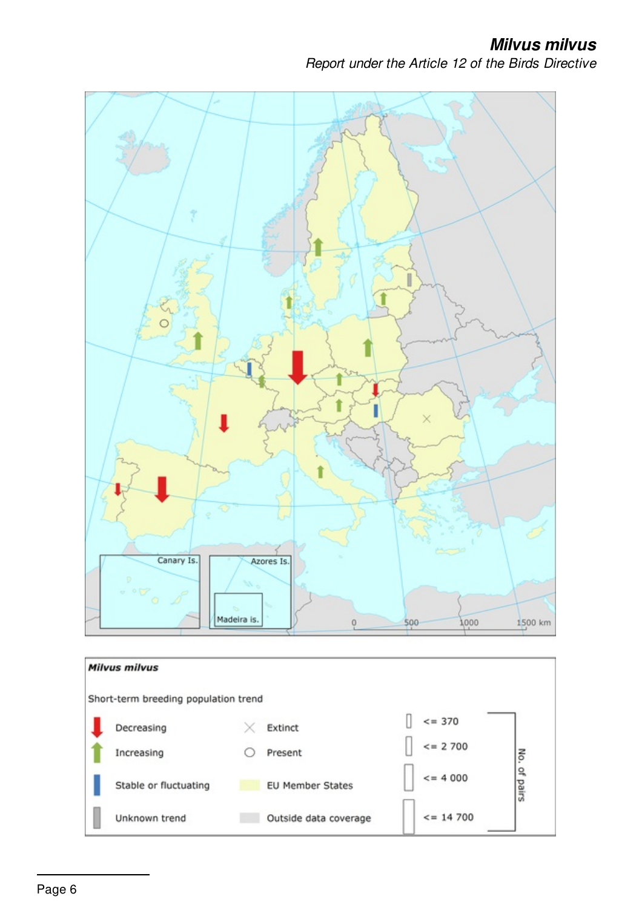*Milvus milvus*

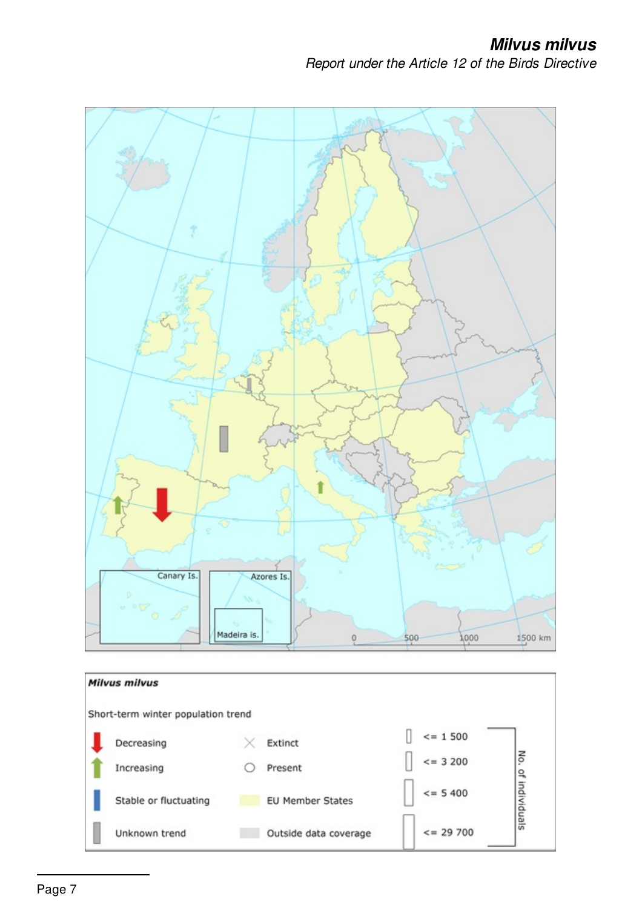*Milvus milvus*

 $<= 29700$ 



Outside data coverage

Unknown trend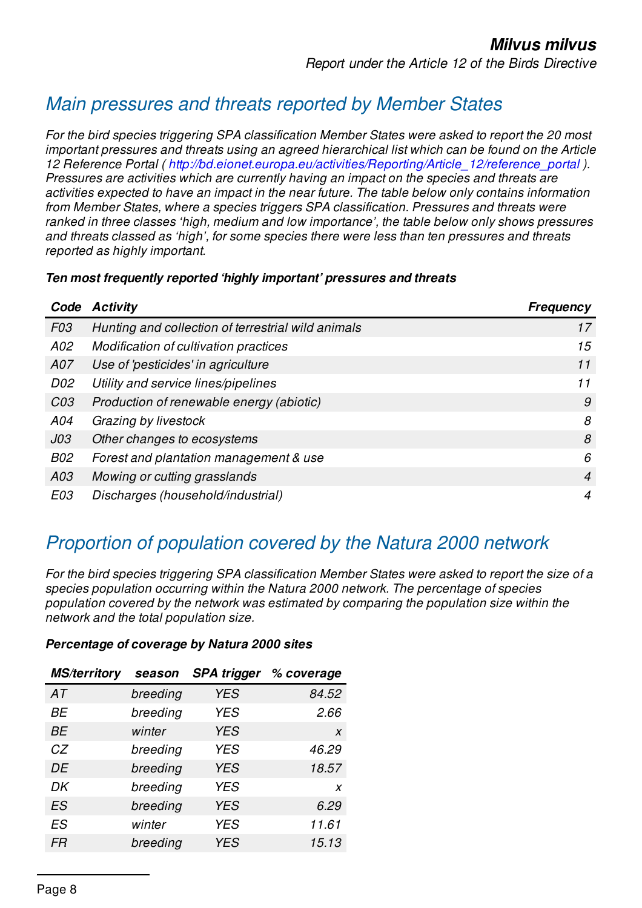# *Main pressures and threats reported by Member States*

*For the bird species triggering SPA classification Member States were asked to report the 20 most important pressures and threats using an agreed hierarchical list which can be found on the Article 12 Reference Portal ( [http://bd.eionet.europa.eu/activities/Reporting/Article\\_12/reference\\_portal](http://bd.eionet.europa.eu/activities/Reporting/Article_12/reference_portal) ). Pressures are activities which are currently having an impact on the species and threats are activities expected to have an impact in the near future. The table below only contains information from Member States, where a species triggers SPA classification. Pressures and threats were ranked in three classes 'high, medium and low importance', the table below only shows pressures and threats classed as 'high', for some species there were less than ten pressures and threats reported as highly important.*

#### *Ten most frequently reported 'highly important' pressures and threats*

| Code            | <b>Activity</b>                                    | <b>Frequency</b> |
|-----------------|----------------------------------------------------|------------------|
| F <sub>03</sub> | Hunting and collection of terrestrial wild animals | 17               |
| A02             | Modification of cultivation practices              | 15               |
| A07             | Use of 'pesticides' in agriculture                 | 11               |
| D <sub>02</sub> | Utility and service lines/pipelines                | 11               |
| C03             | Production of renewable energy (abiotic)           | 9                |
| A04             | Grazing by livestock                               | 8                |
| JO3             | Other changes to ecosystems                        | 8                |
| <b>B02</b>      | Forest and plantation management & use             | 6                |
| A03             | Mowing or cutting grasslands                       | $\boldsymbol{4}$ |
| E03             | Discharges (household/industrial)                  | 4                |

# *Proportion of population covered by the Natura 2000 network*

*For the bird species triggering SPA classification Member States were asked to report the size of a species population occurring within the Natura 2000 network. The percentage of species population covered by the network was estimated by comparing the population size within the network and the total population size.*

#### *Percentage of coverage by Natura 2000 sites*

| <b>MS/territory</b> | season   | <b>SPA trigger</b> | % coverage |
|---------------------|----------|--------------------|------------|
| AT                  | breeding | <b>YES</b>         | 84.52      |
| <b>BE</b>           | breeding | <b>YES</b>         | 2.66       |
| <b>BE</b>           | winter   | <b>YES</b>         | X          |
| CZ                  | breeding | <b>YES</b>         | 46.29      |
| DE                  | breeding | <b>YES</b>         | 18.57      |
| DK                  | breeding | <b>YES</b>         | X          |
| <b>ES</b>           | breeding | <b>YES</b>         | 6.29       |
| ES                  | winter   | <b>YES</b>         | 11.61      |
| FR                  | breeding | <b>YES</b>         | 15.13      |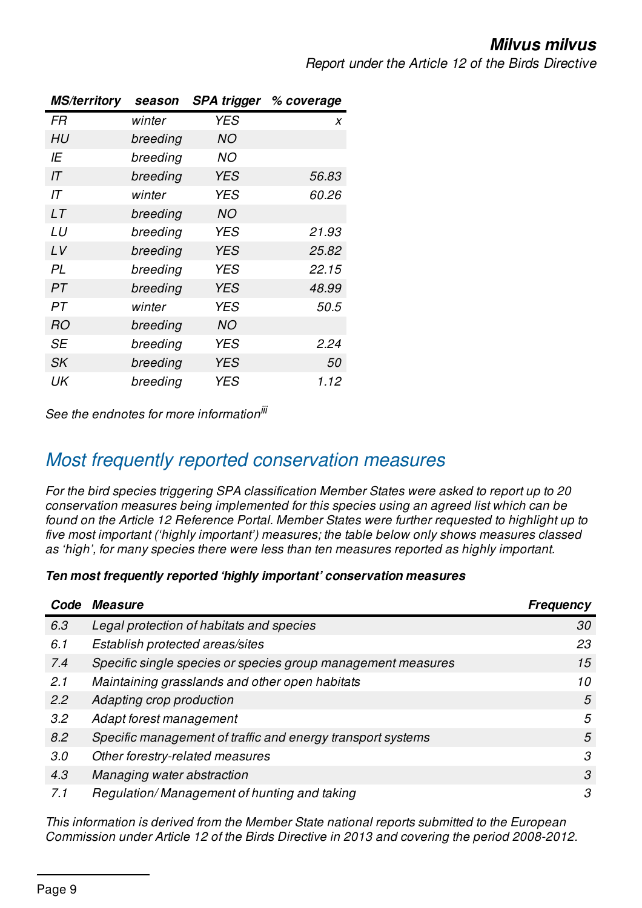*Report under the Article 12 of the Birds Directive*

| <b>MS/territory</b> | season   | <b>SPA trigger</b> | % coverage |
|---------------------|----------|--------------------|------------|
| FR                  | winter   | <b>YES</b>         | x          |
| HU                  | breeding | NO                 |            |
| ΙE                  | breeding | NΟ                 |            |
| IT                  | breeding | <b>YES</b>         | 56.83      |
| IT                  | winter   | <b>YES</b>         | 60.26      |
| LT                  | breeding | <b>NO</b>          |            |
| LU                  | breeding | YES                | 21.93      |
| LV                  | breeding | <b>YES</b>         | 25.82      |
| PL                  | breeding | <b>YES</b>         | 22.15      |
| РT                  | breeding | <b>YES</b>         | 48.99      |
| PT                  | winter   | <b>YES</b>         | 50.5       |
| RO                  | breeding | <b>NO</b>          |            |
| <b>SE</b>           | breeding | <b>YES</b>         | 2.24       |
| SK                  | breeding | <b>YES</b>         | 50         |
| UK                  | breeding | YES                | 1.12       |

*See the endnotes for more information iii*

### *Most frequently reported conservation measures*

*For the bird species triggering SPA classification Member States were asked to report up to 20 conservation measures being implemented for this species using an agreed list which can be found on the Article 12 Reference Portal. Member States were further requested to highlight up to five most important ('highly important') measures; the table below only shows measures classed as 'high', for many species there were less than ten measures reported as highly important.*

#### *Ten most frequently reported 'highly important' conservation measures*

| Code          | <b>Measure</b>                                               | <b>Frequency</b> |
|---------------|--------------------------------------------------------------|------------------|
| 6.3           | Legal protection of habitats and species                     | 30               |
| 6.1           | Establish protected areas/sites                              | 23               |
| 7.4           | Specific single species or species group management measures | 15               |
| 2.1           | Maintaining grasslands and other open habitats               | 10               |
| $2.2^{\circ}$ | Adapting crop production                                     | 5                |
| 3.2           | Adapt forest management                                      | 5                |
| 8.2           | Specific management of traffic and energy transport systems  | 5                |
| 3.0           | Other forestry-related measures                              | 3                |
| 4.3           | Managing water abstraction                                   | 3                |
| 7.1           | Regulation/Management of hunting and taking                  | 3                |

*This information is derived from the Member State national reports submitted to the European Commission under Article 12 of the Birds Directive in 2013 and covering the period 2008-2012.*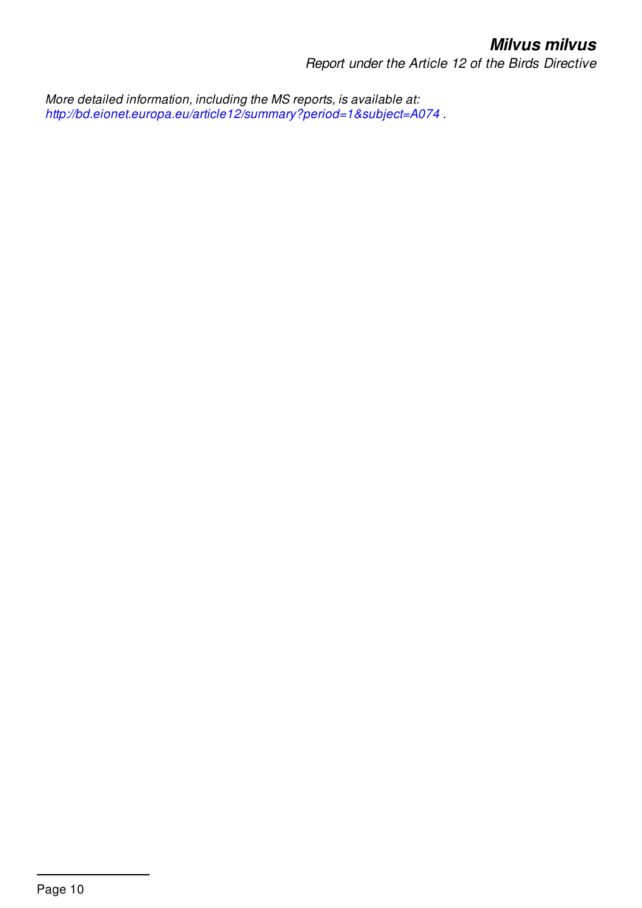*Report under the Article 12 of the Birds Directive*

*More detailed information, including the MS reports, is available at: <http://bd.eionet.europa.eu/article12/summary?period=1&subject=A074> .*